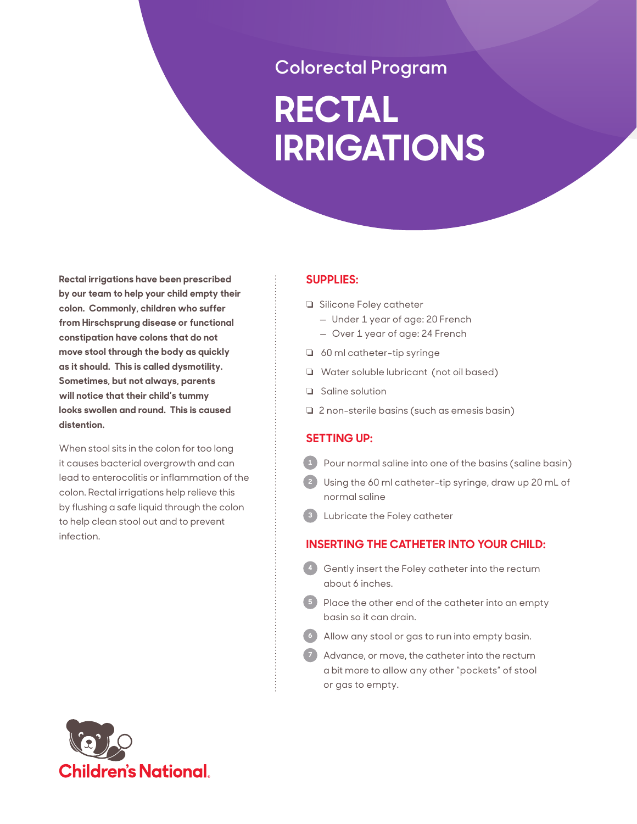# **Colorectal Program**

# **RECTAL IRRIGATIONS**

**Rectal irrigations have been prescribed by our team to help your child empty their colon. Commonly, children who suffer from Hirschsprung disease or functional constipation have colons that do not move stool through the body as quickly as it should. This is called dysmotility. Sometimes, but not always, parents will notice that their child's tummy looks swollen and round. This is caused distention.** 

When stool sits in the colon for too long it causes bacterial overgrowth and can lead to enterocolitis or inflammation of the colon. Rectal irrigations help relieve this by flushing a safe liquid through the colon to help clean stool out and to prevent infection.

# **SUPPLIES:**

- G Silicone Foley catheter
	- Under 1 year of age: 20 French
	- Over 1 year of age: 24 French
- $\Box$  60 ml catheter-tip syringe
- **Q** Water soluble lubricant (not oil based)
- $\Box$  Saline solution
- $\Box$  2 non-sterile basins (such as emesis basin)

# **SETTING UP:**

- **1** Pour normal saline into one of the basins (saline basin)
- **2** Using the 60 ml catheter-tip syringe, draw up 20 mL of normal saline
- **3** Lubricate the Foley catheter

# **INSERTING THE CATHETER INTO YOUR CHILD:**

- **4** Gently insert the Foley catheter into the rectum about 6 inches.
- **5** Place the other end of the catheter into an empty basin so it can drain.
- **6** Allow any stool or gas to run into empty basin.
- **7** Advance, or move, the catheter into the rectum a bit more to allow any other "pockets" of stool or gas to empty.